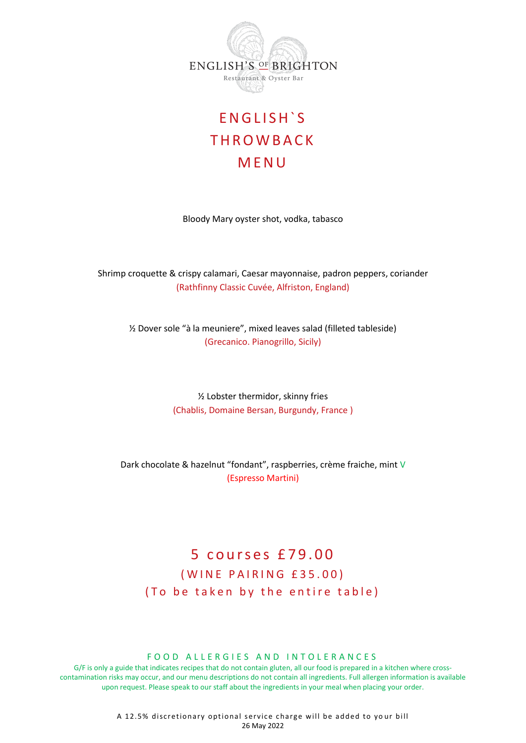

# E N G L I S H ` S **THROWBACK** M E N U

Bloody Mary oyster shot, vodka, tabasco

Shrimp croquette & crispy calamari, Caesar mayonnaise, padron peppers, coriander (Rathfinny Classic Cuvée, Alfriston, England)

½ Dover sole "à la meuniere", mixed leaves salad (filleted tableside) (Grecanico. Pianogrillo, Sicily)

> ½ Lobster thermidor, skinny fries (Chablis, Domaine Bersan, Burgundy, France )

Dark chocolate & hazelnut "fondant", raspberries, crème fraiche, mint V (Espresso Martini)

## 5 courses £79.00 ( W I N E P A I R I N G £ 35.00) ( To be taken by the entire table)

#### FOOD ALLERGIES AND INTOLERANCES

G/F is only a guide that indicates recipes that do not contain gluten, all our food is prepared in a kitchen where crosscontamination risks may occur, and our menu descriptions do not contain all ingredients. Full allergen information is available upon request. Please speak to our staff about the ingredients in your meal when placing your order.

> A 12.5% discretionary optional service charge will be added to your bill 26 May 2022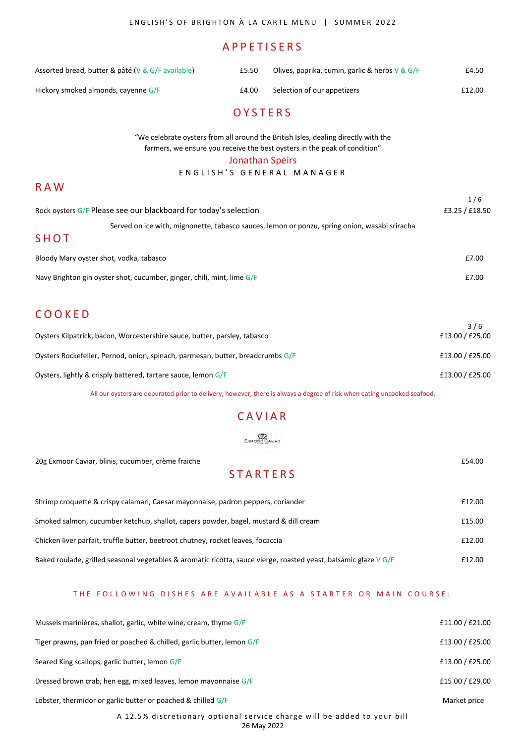## A P P E T I S E R S

| Assorted bread, butter & pâté (V & G/F available) | £5.50 | Olives, paprika, cumin, garlic & herbs $V \& G/F$ | £4.50  |
|---------------------------------------------------|-------|---------------------------------------------------|--------|
| Hickory smoked almonds, cayenne G/F               | £4.00 | Selection of our appetizers                       | £12.00 |

#### **O Y S T F R S**

"We celebrate oysters from all around the British Isles, dealing directly with the farmers, we ensure you receive the best oysters in the peak of condition"

#### Jonathan Speirs

ENGLISH'S GENERAL MANAGER

| Rock oysters G/F Please see our blackboard for today's selection                              | 1/6<br>£3.25 / £18.50 |
|-----------------------------------------------------------------------------------------------|-----------------------|
| Served on ice with, mignonette, tabasco sauces, lemon or ponzu, spring onion, wasabi sriracha |                       |
| SHOT                                                                                          |                       |
| Bloody Mary oyster shot, vodka, tabasco                                                       | £7.00                 |
| Navy Brighton gin oyster shot, cucumber, ginger, chili, mint, lime G/F                        | £7.00                 |
|                                                                                               |                       |
| COOKED                                                                                        |                       |

| Oysters Kilpatrick, bacon, Worcestershire sauce, butter, parsley, tabasco      | 3/6<br>£13.00 / £25.00 |
|--------------------------------------------------------------------------------|------------------------|
| Oysters Rockefeller, Pernod, onion, spinach, parmesan, butter, breadcrumbs G/F | £13.00 / £25.00        |
| Oysters, lightly & crisply battered, tartare sauce, lemon G/F                  | £13.00 / £25.00        |

All our oysters are depurated prior to delivery, however, there is always a degree of risk when eating uncooked seafood.

## **CAVIAR**

 $\underbrace{\mathbb{S}^{\mathbb{N}}_{\mathbb{Z}}}_{\text{Exmoor Caviar}}$ 

20g Exmoor Caviar, blinis, cucumber, crème fraiche £54.00

#### **STARTERS**

| Shrimp croquette & crispy calamari, Caesar mayonnaise, padron peppers, coriander                                 | £12.00 |
|------------------------------------------------------------------------------------------------------------------|--------|
| Smoked salmon, cucumber ketchup, shallot, capers powder, bagel, mustard & dill cream                             | £15.00 |
| Chicken liver parfait, truffle butter, beetroot chutney, rocket leaves, focaccia                                 | £12.00 |
| Baked roulade, grilled seasonal vegetables & aromatic ricotta, sauce vierge, roasted yeast, balsamic glaze V G/F | £12.00 |

#### THE FOLLOWING DISHES ARE AVAILABLE AS A STARTER OR MAIN COURSE:

| Mussels marinières, shallot, garlic, white wine, cream, thyme $G/F$      | £11.00 / £21.00 |
|--------------------------------------------------------------------------|-----------------|
| Tiger prawns, pan fried or poached & chilled, garlic butter, lemon G/F   | £13.00 / £25.00 |
| Seared King scallops, garlic butter, lemon G/F                           | £13.00 / £25.00 |
| Dressed brown crab, hen egg, mixed leaves, lemon mayonnaise G/F          | £15.00 / £29.00 |
| Lobster, thermidor or garlic butter or poached & chilled G/F             | Market price    |
| A 12.5% discretionary optional service charge will be added to your bill |                 |

26 May 2022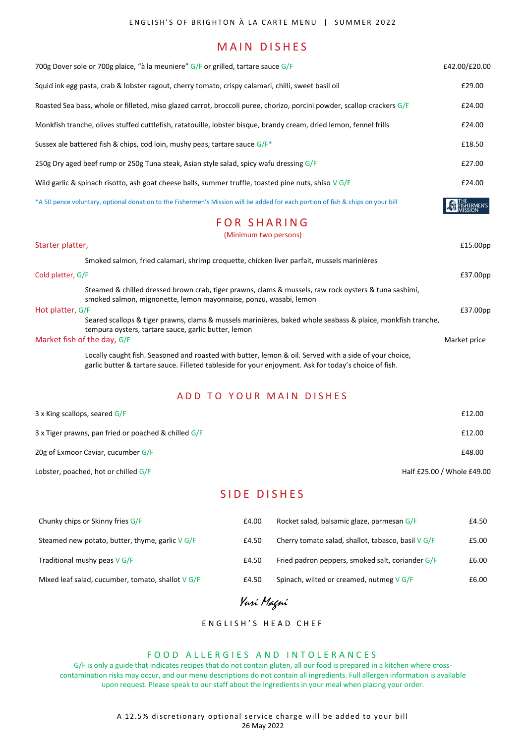### MAIN DISHES

| 700g Dover sole or 700g plaice, "à la meuniere" G/F or grilled, tartare sauce G/F                                                                                                                               | £42.00/£20.00   |
|-----------------------------------------------------------------------------------------------------------------------------------------------------------------------------------------------------------------|-----------------|
| Squid ink egg pasta, crab & lobster ragout, cherry tomato, crispy calamari, chilli, sweet basil oil                                                                                                             | £29.00          |
| Roasted Sea bass, whole or filleted, miso glazed carrot, broccoli puree, chorizo, porcini powder, scallop crackers G/F                                                                                          | £24.00          |
| Monkfish tranche, olives stuffed cuttlefish, ratatouille, lobster bisque, brandy cream, dried lemon, fennel frills                                                                                              | £24.00          |
| Sussex ale battered fish & chips, cod loin, mushy peas, tartare sauce $G/F^*$                                                                                                                                   | £18.50          |
| 250g Dry aged beef rump or 250g Tuna steak, Asian style salad, spicy wafu dressing G/F                                                                                                                          | £27.00          |
| Wild garlic & spinach risotto, ash goat cheese balls, summer truffle, toasted pine nuts, shiso $V$ G/F                                                                                                          | £24.00          |
| *A 50 pence voluntary, optional donation to the Fishermen's Mission will be added for each portion of fish & chips on your bill                                                                                 | <b>HERMEN'S</b> |
| <b>FOR SHARING</b>                                                                                                                                                                                              |                 |
| (Minimum two persons)                                                                                                                                                                                           |                 |
| Starter platter,                                                                                                                                                                                                | £15.00pp        |
| Smoked salmon, fried calamari, shrimp croquette, chicken liver parfait, mussels marinières                                                                                                                      |                 |
| Cold platter, G/F                                                                                                                                                                                               | £37.00pp        |
| Steamed & chilled dressed brown crab, tiger prawns, clams & mussels, raw rock oysters & tuna sashimi,<br>smoked salmon, mignonette, lemon mayonnaise, ponzu, wasabi, lemon                                      |                 |
| Hot platter, G/F                                                                                                                                                                                                | £37.00pp        |
| Seared scallops & tiger prawns, clams & mussels marinières, baked whole seabass & plaice, monkfish tranche,<br>tempura oysters, tartare sauce, garlic butter, lemon                                             |                 |
| Market fish of the day, G/F                                                                                                                                                                                     | Market price    |
| Locally caught fish. Seasoned and roasted with butter, lemon & oil. Served with a side of your choice,<br>garlic butter & tartare sauce. Filleted tableside for your enjoyment. Ask for today's choice of fish. |                 |

#### A D D TO YOUR MAIN DISHES

| $3 \times$ King scallops, seared $G/F$                 | £12.00                     |
|--------------------------------------------------------|----------------------------|
| 3 x Tiger prawns, pan fried or poached & chilled $G/F$ | £12.00                     |
| 20g of Exmoor Caviar, cucumber G/F                     | £48.00                     |
| Lobster, poached, hot or chilled G/F                   | Half £25.00 / Whole £49.00 |

SIDE DISHES

| Chunky chips or Skinny fries $G/F$                | £4.00 | Rocket salad, balsamic glaze, parmesan G/F         | £4.50 |
|---------------------------------------------------|-------|----------------------------------------------------|-------|
| Steamed new potato, butter, thyme, garlic V G/F   | £4.50 | Cherry tomato salad, shallot, tabasco, basil V G/F | £5.00 |
| Traditional mushy peas $V$ G/F                    | £4.50 | Fried padron peppers, smoked salt, coriander G/F   | £6.00 |
| Mixed leaf salad, cucumber, tomato, shallot V G/F | £4.50 | Spinach, wilted or creamed, nutmeg V G/F           | £6.00 |

Yuri Magni

#### ENGLISH'S HEAD CHEF

#### FOOD ALLERGIES AND INTOLERANCES

G/F is only a guide that indicates recipes that do not contain gluten, all our food is prepared in a kitchen where crosscontamination risks may occur, and our menu descriptions do not contain all ingredients. Full allergen information is available upon request. Please speak to our staff about the ingredients in your meal when placing your order.

> A 12.5% discretionary optional service charge will be added to your bill 26 May 2022